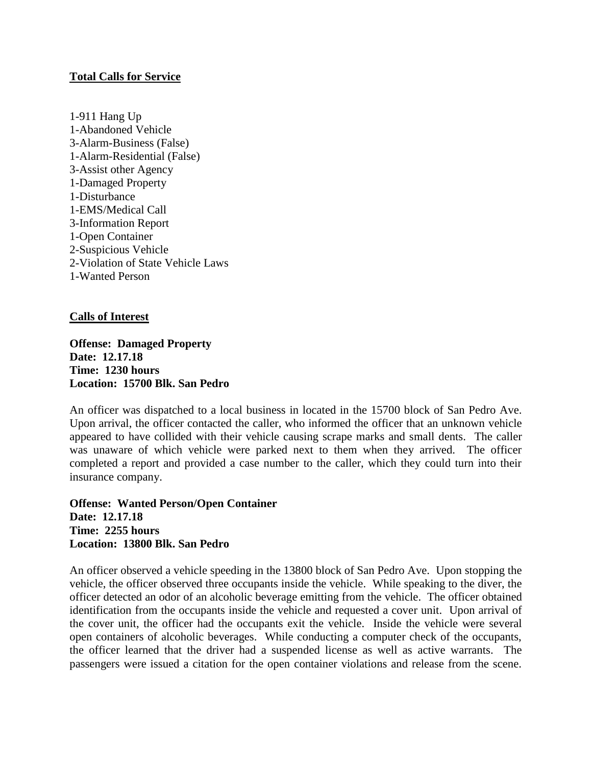## **Total Calls for Service**

1-911 Hang Up 1-Abandoned Vehicle 3-Alarm-Business (False) 1-Alarm-Residential (False) 3-Assist other Agency 1-Damaged Property 1-Disturbance 1-EMS/Medical Call 3-Information Report 1-Open Container 2-Suspicious Vehicle 2-Violation of State Vehicle Laws 1-Wanted Person

# **Calls of Interest**

**Offense: Damaged Property Date: 12.17.18 Time: 1230 hours Location: 15700 Blk. San Pedro**

An officer was dispatched to a local business in located in the 15700 block of San Pedro Ave. Upon arrival, the officer contacted the caller, who informed the officer that an unknown vehicle appeared to have collided with their vehicle causing scrape marks and small dents. The caller was unaware of which vehicle were parked next to them when they arrived. The officer completed a report and provided a case number to the caller, which they could turn into their insurance company.

**Offense: Wanted Person/Open Container Date: 12.17.18 Time: 2255 hours Location: 13800 Blk. San Pedro**

An officer observed a vehicle speeding in the 13800 block of San Pedro Ave. Upon stopping the vehicle, the officer observed three occupants inside the vehicle. While speaking to the diver, the officer detected an odor of an alcoholic beverage emitting from the vehicle. The officer obtained identification from the occupants inside the vehicle and requested a cover unit. Upon arrival of the cover unit, the officer had the occupants exit the vehicle. Inside the vehicle were several open containers of alcoholic beverages. While conducting a computer check of the occupants, the officer learned that the driver had a suspended license as well as active warrants. The passengers were issued a citation for the open container violations and release from the scene.